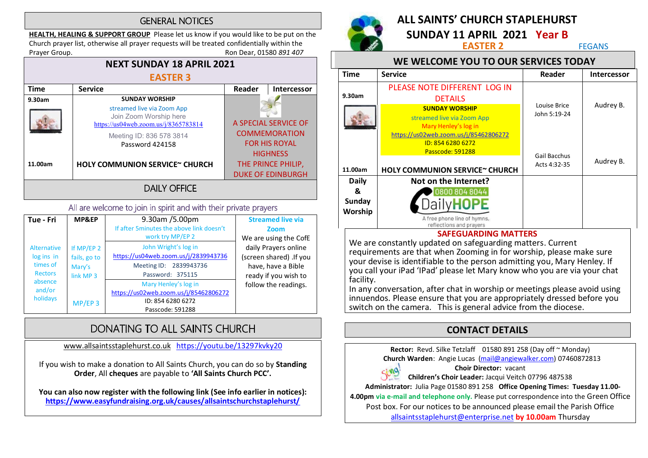#### **GENERAL NOTICES**

HEALTH, HEALING & SUPPORT GROUP Please let us know if you would like to be put on the Church prayer list, otherwise all prayer requests will be treated confidentially within the Prayer Group. **Roup.** Ron Dear, 01580 891 407



#### All are welcome to join in spirit and with their private prayers

| Tue - Fri                                                                                       | MP&EP                                                                     | 9.30am /5.00pm<br>If after 5 minutes the above link doesn't                                                                    | <b>Streamed live via</b><br>Zoom                                                                                       |
|-------------------------------------------------------------------------------------------------|---------------------------------------------------------------------------|--------------------------------------------------------------------------------------------------------------------------------|------------------------------------------------------------------------------------------------------------------------|
| <b>Alternative</b><br>log ins in<br>times of<br><b>Rectors</b><br>absence<br>and/or<br>holidays | If MP/EP 2<br>fails, go to<br>Mary's<br>link MP <sub>3</sub><br>$MP/EP$ 3 | work try MP/EP 2<br>John Wright's log in<br>https://us04web.zoom.us/j/2839943736<br>Meeting ID: 2839943736<br>Password: 375115 | We are using the CofE<br>daily Prayers online<br>(screen shared) .If you<br>have, have a Bible<br>ready if you wish to |
|                                                                                                 |                                                                           | Mary Henley's log in<br>https://us02web.zoom.us/j/85462806272<br>ID: 854 6280 6272<br>Passcode: 591288                         | follow the readings.                                                                                                   |

# DONATING TO ALL SAINTS CHURCH

www.allsaintsstaplehurst.co.uk https://youtu.be/13297kvky20

If you wish to make a donation to All Saints Church, you can do so by Standing Order, All cheques are payable to 'All Saints Church PCC'.

You can also now register with the following link (See info earlier in notices): https://www.easyfundraising.org.uk/causes/allsaintschurchstaplehurst/



# ALL SAINTS' CHURCH STAPLEHURST

**SUNDAY 11 APRIL 2021 Year B**<br>**EASTER 2** FEGANS

#### WE WELCOME YOU TO OUR SERVICES TODAY

| <b>Time</b>       | <b>Service</b>                                                                                                       | Reader                       | <b>Intercessor</b> |
|-------------------|----------------------------------------------------------------------------------------------------------------------|------------------------------|--------------------|
|                   | PLEASE NOTE DIFFERENT LOG IN                                                                                         |                              |                    |
| 9.30am            | <b>DETAILS</b>                                                                                                       |                              | Audrey B.          |
|                   | <b>SUNDAY WORSHIP</b><br>streamed live via Zoom App<br>Mary Henley's log in<br>https://us02web.zoom.us/j/85462806272 | Louise Brice<br>John 5:19-24 |                    |
|                   | ID: 854 6280 6272<br>Passcode: 591288                                                                                | Gail Bacchus<br>Acts 4:32-35 | Audrey B.          |
| 11.00am           | <b>HOLY COMMUNION SERVICE~ CHURCH</b>                                                                                |                              |                    |
| <b>Daily</b>      | Not on the Internet?                                                                                                 |                              |                    |
| &                 | 0800 804 8044                                                                                                        |                              |                    |
| Sunday<br>Worship |                                                                                                                      |                              |                    |
|                   | A free phone line of hymns,<br>reflections and prayers                                                               |                              |                    |

#### SAFEGUARDING MATTERS

We are constantly updated on safeguarding matters. Current requirements are that when Zooming in for worship, please make sure your devise is identifiable to the person admitting you, Mary Henley. If you call your iPad 'IPad' please let Mary know who you are via your chat facility.

In any conversation, after chat in worship or meetings please avoid using innuendos. Please ensure that you are appropriately dressed before you switch on the camera. This is general advice from the diocese.

## CONTACT DETAILS

Rector: Revd. Silke Tetzlaff 01580 891 258 (Day off ~ Monday) Church Warden: Angie Lucas (mail@angiewalker.com) 07460872813 Choir Director: vacant Sing! Children's Choir Leader: Jacqui Veitch 07796 487538 Administrator: Julia Page 01580 891 258 Office Opening Times: Tuesday 11.00- 4.00pm via e-mail and telephone only. Please put correspondence into the Green Office Post box. For our notices to be announced please email the Parish Office

allsaintsstaplehurst@enterprise.net by 10.00am Thursday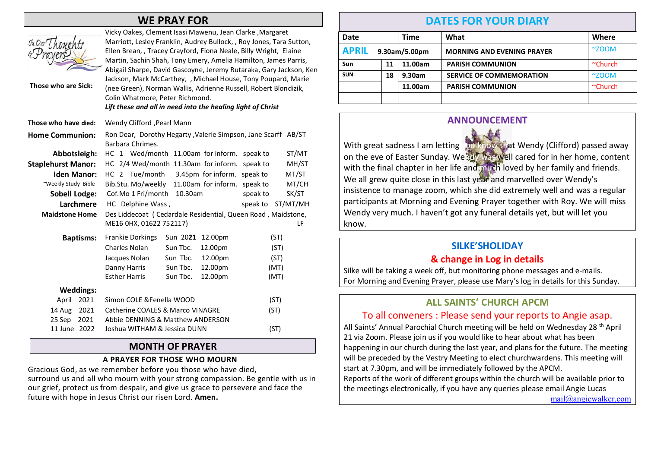## WE PRAY FOR

| JnDurL<br>Those who are Sick:  | Vicky Oakes, Clement Isasi Mawenu, Jean Clarke, Margaret<br>Marriott, Lesley Franklin, Audrey Bullock, , Roy Jones, Tara Sutton,<br>Ellen Brean,, Tracey Crayford, Fiona Neale, Billy Wright, Elaine<br>Martin, Sachin Shah, Tony Emery, Amelia Hamilton, James Parris,<br>Abigail Sharpe, David Gascoyne, Jeremy Rutaraka, Gary Jackson, Ken<br>Jackson, Mark McCarthey, , Michael House, Tony Poupard, Marie<br>(nee Green), Norman Wallis, Adrienne Russell, Robert Blondizik,<br>Colin Whatmore, Peter Richmond.<br>Lift these and all in need into the healing light of Christ |  |  |  |
|--------------------------------|-------------------------------------------------------------------------------------------------------------------------------------------------------------------------------------------------------------------------------------------------------------------------------------------------------------------------------------------------------------------------------------------------------------------------------------------------------------------------------------------------------------------------------------------------------------------------------------|--|--|--|
| Those who have died:           | Wendy Clifford , Pearl Mann                                                                                                                                                                                                                                                                                                                                                                                                                                                                                                                                                         |  |  |  |
| <b>Home Communion:</b>         | Ron Dear, Dorothy Hegarty, Valerie Simpson, Jane Scarff AB/ST<br>Barbara Chrimes.                                                                                                                                                                                                                                                                                                                                                                                                                                                                                                   |  |  |  |
| Abbotsleigh:                   | HC 1 Wed/month 11.00am for inform.<br>ST/MT<br>speak to                                                                                                                                                                                                                                                                                                                                                                                                                                                                                                                             |  |  |  |
| <b>Staplehurst Manor:</b>      | HC 2/4 Wed/month 11.30am for inform.<br>MH/ST<br>speak to                                                                                                                                                                                                                                                                                                                                                                                                                                                                                                                           |  |  |  |
| <b>Iden Manor:</b>             | HC 2 Tue/month<br>3.45pm for inform. speak to<br>MT/ST                                                                                                                                                                                                                                                                                                                                                                                                                                                                                                                              |  |  |  |
| ~Weekly Study Bible            | Bib.Stu. Mo/weekly<br>11.00am for inform. speak to<br>MT/CH                                                                                                                                                                                                                                                                                                                                                                                                                                                                                                                         |  |  |  |
| <b>Sobell Lodge:</b>           | Cof.Mo 1 Fri/month<br>10.30am<br>SK/ST<br>speak to                                                                                                                                                                                                                                                                                                                                                                                                                                                                                                                                  |  |  |  |
| Larchmere                      | HC Delphine Wass,<br>speak to<br>ST/MT/MH                                                                                                                                                                                                                                                                                                                                                                                                                                                                                                                                           |  |  |  |
| <b>Maidstone Home</b>          | Des Liddecoat (Cedardale Residential, Queen Road, Maidstone,<br>ME16 0HX, 01622 752117)<br>LF                                                                                                                                                                                                                                                                                                                                                                                                                                                                                       |  |  |  |
| <b>Baptisms:</b>               | Frankie Dorkings<br>Sun 2021<br>12.00pm<br>(ST)                                                                                                                                                                                                                                                                                                                                                                                                                                                                                                                                     |  |  |  |
|                                | Charles Nolan<br>Sun Tbc.<br>12.00pm<br>(ST)                                                                                                                                                                                                                                                                                                                                                                                                                                                                                                                                        |  |  |  |
|                                | Sun Tbc.<br>12.00pm<br>Jacques Nolan<br>(ST)                                                                                                                                                                                                                                                                                                                                                                                                                                                                                                                                        |  |  |  |
|                                | Danny Harris<br>Sun Tbc.<br>12.00pm<br>(MT)                                                                                                                                                                                                                                                                                                                                                                                                                                                                                                                                         |  |  |  |
|                                | <b>Esther Harris</b><br>Sun Tbc.<br>12.00pm<br>(MT)                                                                                                                                                                                                                                                                                                                                                                                                                                                                                                                                 |  |  |  |
| <b>Weddings:</b>               |                                                                                                                                                                                                                                                                                                                                                                                                                                                                                                                                                                                     |  |  |  |
| April<br>2021                  | Simon COLE & Fenella WOOD<br>(ST)                                                                                                                                                                                                                                                                                                                                                                                                                                                                                                                                                   |  |  |  |
| 2021<br>14 Aug                 | Catherine COALES & Marco VINAGRE<br>(ST)                                                                                                                                                                                                                                                                                                                                                                                                                                                                                                                                            |  |  |  |
| 25 Sep<br>2021<br>11 June 2022 | Abbie DENNING & Matthew ANDERSON<br>Joshua WITHAM & Jessica DUNN<br>(ST)                                                                                                                                                                                                                                                                                                                                                                                                                                                                                                            |  |  |  |

#### MONTH OF PRAYER

#### A PRAYER FOR THOSE WHO MOURN

Gracious God, as we remember before you those who have died, surround us and all who mourn with your strong compassion. Be gentle with us in our grief, protect us from despair, and give us grace to persevere and face the future with hope in Jesus Christ our risen Lord. Amen.

## DATES FOR YOUR DIARY

| Date                          |    | <b>Time</b> | What                              | Where            |
|-------------------------------|----|-------------|-----------------------------------|------------------|
| <b>APRIL</b><br>9.30am/5.00pm |    |             | <b>MORNING AND EVENING PRAYER</b> | $~\sim$ ZOOM     |
| Sun                           | 11 | 11.00am     | <b>PARISH COMMUNION</b>           | $^{\sim}$ Church |
| <b>SUN</b>                    | 18 | 9.30am      | <b>SERVICE OF COMMEMORATION</b>   | $~\sim$ ZOOM     |
|                               |    | 11.00am     | <b>PARISH COMMUNION</b>           | $^{\sim}$ Church |
|                               |    |             |                                   |                  |

#### ANNOUNCEMENT



## SILKE'SHOLIDAY

#### & change in Log in details

Silke will be taking a week off, but monitoring phone messages and e-mails. For Morning and Evening Prayer, please use Mary's log in details for this Sunday.

## ALL SAINTS' CHURCH APCM

## To all conveners : Please send your reports to Angie asap.

All Saints' Annual Parochial Church meeting will be held on Wednesday 28<sup>th</sup> April 21 via Zoom. Please join us if you would like to hear about what has been happening in our church during the last year, and plans for the future. The meeting will be preceded by the Vestry Meeting to elect churchwardens. This meeting will start at 7.30pm, and will be immediately followed by the APCM.

Reports of the work of different groups within the church will be available prior to the meetings electronically, if you have any queries please email Angie Lucas

mail@angiewalker.com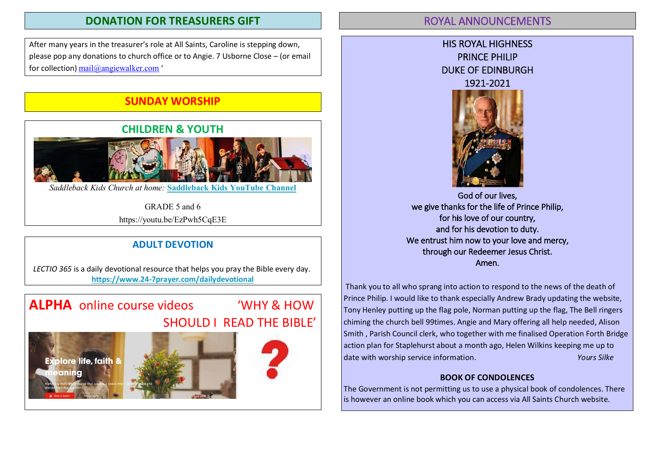## DONATION FOR TREASURERS GIFT

After many years in the treasurer's role at All Saints, Caroline is stepping down, please pop any donations to church office or to Angie. 7 Usborne Close – (or email for collection) mail@angiewalker.com '

# SUNDAY WORSHIP



*Saddleback Kids Church at home:* **Saddleback Kids YouTube Channel**

GRADE 5 and 6 https://youtu.be/EzPwh5CqE3E

## ADULT DEVOTION

LECTIO 365 is a daily devotional resource that helps you pray the Bible every day. https://www.24-7prayer.com/dailydevotional

# ALPHA online course videos "WHY & HOW

# SHOULD I READ THE BIBLE'







## **ROYAL ANNOUNCEMENTS**





God of our lives, we give thanks for the life of Prince Philip, for his love of our country, and for his devotion to duty. We entrust him now to your love and mercy, through our Redeemer Jesus Christ. Amen.

Thank you to all who sprang into action to respond to the news of the death of Prince Philip. I would like to thank especially Andrew Brady updating the website, Tony Henley putting up the flag pole, Norman putting up the flag, The Bell ringers chiming the church bell 99times. Angie and Mary offering all help needed, Alison Smith , Parish Council clerk, who together with me finalised Operation Forth Bridge action plan for Staplehurst about a month ago, Helen Wilkins keeping me up to date with worship service information. The manufacture of the Vours Silke

#### BOOK OF CONDOLENCES

The Government is not permitting us to use a physical book of condolences. There is however an online book which you can access via All Saints Church website.